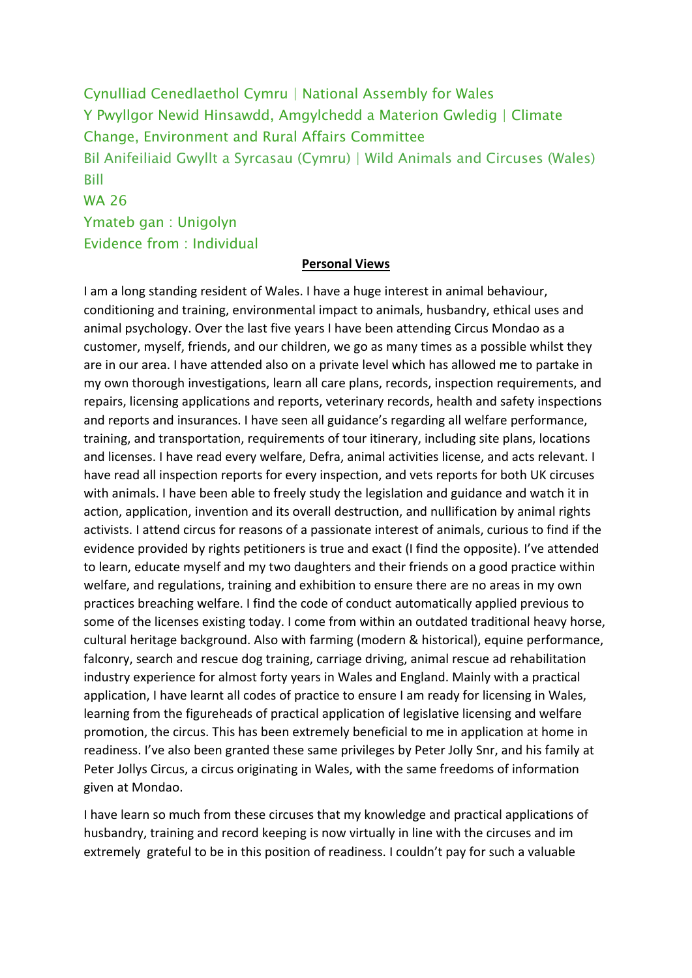Cynulliad Cenedlaethol Cymru | National Assembly for Wales Y Pwyllgor Newid Hinsawdd, Amgylchedd a Materion Gwledig | Climate Change, Environment and Rural Affairs Committee Bil Anifeiliaid Gwyllt a Syrcasau (Cymru) | Wild Animals and Circuses (Wales) Bill WA 26 Ymateb gan : Unigolyn

Evidence from : Individual

#### **Personal Views**

I am a long standing resident of Wales. I have a huge interest in animal behaviour, conditioning and training, environmental impact to animals, husbandry, ethical uses and animal psychology. Over the last five years I have been attending Circus Mondao as a customer, myself, friends, and our children, we go as many times as a possible whilst they are in our area. I have attended also on a private level which has allowed me to partake in my own thorough investigations, learn all care plans, records, inspection requirements, and repairs, licensing applications and reports, veterinary records, health and safety inspections and reports and insurances. I have seen all guidance's regarding all welfare performance, training, and transportation, requirements of tour itinerary, including site plans, locations and licenses. I have read every welfare, Defra, animal activities license, and acts relevant. I have read all inspection reports for every inspection, and vets reports for both UK circuses with animals. I have been able to freely study the legislation and guidance and watch it in action, application, invention and its overall destruction, and nullification by animal rights activists. I attend circus for reasons of a passionate interest of animals, curious to find if the evidence provided by rights petitioners is true and exact (I find the opposite). I've attended to learn, educate myself and my two daughters and their friends on a good practice within welfare, and regulations, training and exhibition to ensure there are no areas in my own practices breaching welfare. I find the code of conduct automatically applied previous to some of the licenses existing today. I come from within an outdated traditional heavy horse, cultural heritage background. Also with farming (modern & historical), equine performance, falconry, search and rescue dog training, carriage driving, animal rescue ad rehabilitation industry experience for almost forty years in Wales and England. Mainly with a practical application, I have learnt all codes of practice to ensure I am ready for licensing in Wales, learning from the figureheads of practical application of legislative licensing and welfare promotion, the circus. This has been extremely beneficial to me in application at home in readiness. I've also been granted these same privileges by Peter Jolly Snr, and his family at Peter Jollys Circus, a circus originating in Wales, with the same freedoms of information given at Mondao.

I have learn so much from these circuses that my knowledge and practical applications of husbandry, training and record keeping is now virtually in line with the circuses and im extremely grateful to be in this position of readiness. I couldn't pay for such a valuable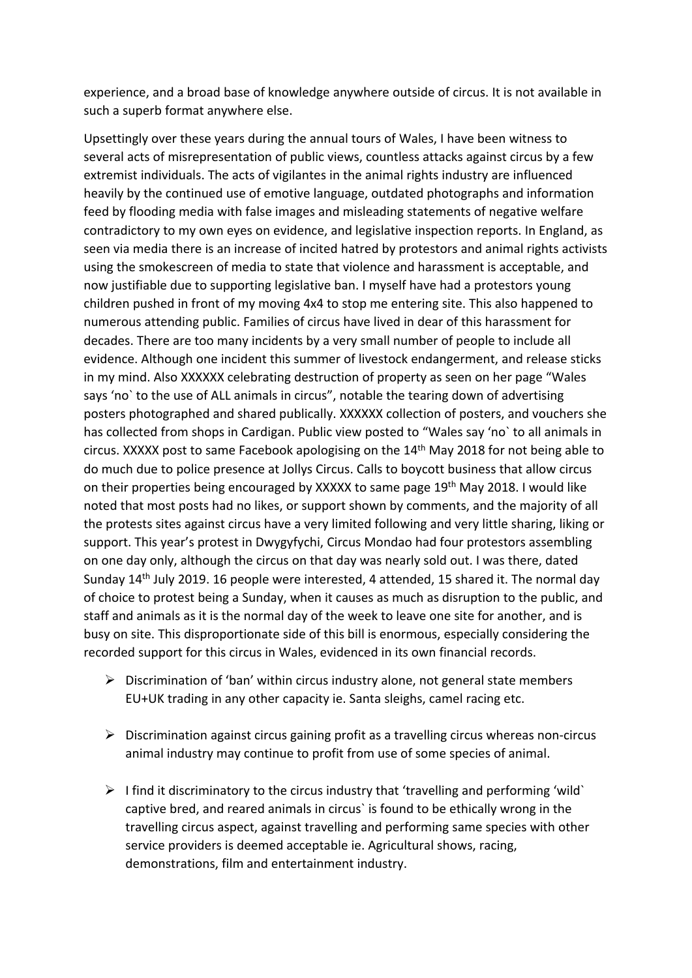experience, and a broad base of knowledge anywhere outside of circus. It is not available in such a superb format anywhere else.

Upsettingly over these years during the annual tours of Wales, I have been witness to several acts of misrepresentation of public views, countless attacks against circus by a few extremist individuals. The acts of vigilantes in the animal rights industry are influenced heavily by the continued use of emotive language, outdated photographs and information feed by flooding media with false images and misleading statements of negative welfare contradictory to my own eyes on evidence, and legislative inspection reports. In England, as seen via media there is an increase of incited hatred by protestors and animal rights activists using the smokescreen of media to state that violence and harassment is acceptable, and now justifiable due to supporting legislative ban. I myself have had a protestors young children pushed in front of my moving 4x4 to stop me entering site. This also happened to numerous attending public. Families of circus have lived in dear of this harassment for decades. There are too many incidents by a very small number of people to include all evidence. Although one incident this summer of livestock endangerment, and release sticks in my mind. Also XXXXXX celebrating destruction of property as seen on her page "Wales says 'no` to the use of ALL animals in circus", notable the tearing down of advertising posters photographed and shared publically. XXXXXX collection of posters, and vouchers she has collected from shops in Cardigan. Public view posted to "Wales say 'no` to all animals in circus. XXXXX post to same Facebook apologising on the 14<sup>th</sup> May 2018 for not being able to do much due to police presence at Jollys Circus. Calls to boycott business that allow circus on their properties being encouraged by XXXXX to same page 19<sup>th</sup> May 2018. I would like noted that most posts had no likes, or support shown by comments, and the majority of all the protests sites against circus have a very limited following and very little sharing, liking or support. This year's protest in Dwygyfychi, Circus Mondao had four protestors assembling on one day only, although the circus on that day was nearly sold out. I was there, dated Sunday 14th July 2019. 16 people were interested, 4 attended, 15 shared it. The normal day of choice to protest being a Sunday, when it causes as much as disruption to the public, and staff and animals as it is the normal day of the week to leave one site for another, and is busy on site. This disproportionate side of this bill is enormous, especially considering the recorded support for this circus in Wales, evidenced in its own financial records.

- $\triangleright$  Discrimination of 'ban' within circus industry alone, not general state members EU+UK trading in any other capacity ie. Santa sleighs, camel racing etc.
- $\triangleright$  Discrimination against circus gaining profit as a travelling circus whereas non-circus animal industry may continue to profit from use of some species of animal.
- $\triangleright$  I find it discriminatory to the circus industry that 'travelling and performing 'wild' captive bred, and reared animals in circus` is found to be ethically wrong in the travelling circus aspect, against travelling and performing same species with other service providers is deemed acceptable ie. Agricultural shows, racing, demonstrations, film and entertainment industry.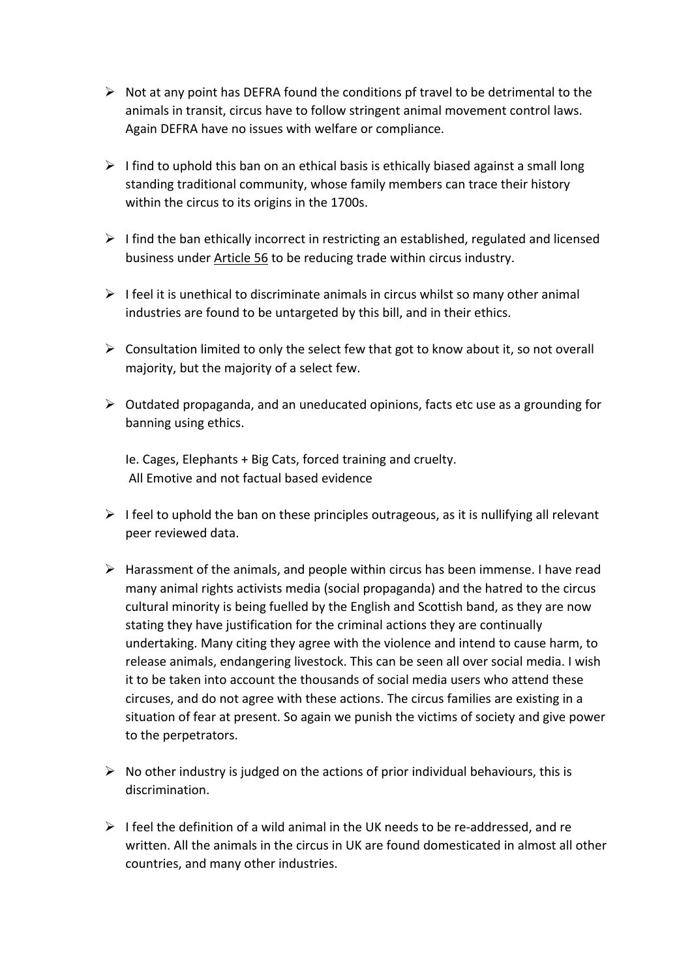- $\triangleright$  Not at any point has DEFRA found the conditions pf travel to be detrimental to the animals in transit, circus have to follow stringent animal movement control laws. Again DEFRA have no issues with welfare or compliance.
- $\triangleright$  I find to uphold this ban on an ethical basis is ethically biased against a small long standing traditional community, whose family members can trace their history within the circus to its origins in the 1700s.
- $\triangleright$  I find the ban ethically incorrect in restricting an established, regulated and licensed business under Article 56 to be reducing trade within circus industry.
- $\triangleright$  I feel it is unethical to discriminate animals in circus whilst so many other animal industries are found to be untargeted by this bill, and in their ethics.
- $\triangleright$  Consultation limited to only the select few that got to know about it, so not overall majority, but the majority of a select few.
- $\triangleright$  Outdated propaganda, and an uneducated opinions, facts etc use as a grounding for banning using ethics.

Ie. Cages, Elephants + Big Cats, forced training and cruelty. All Emotive and not factual based evidence

- $\triangleright$  I feel to uphold the ban on these principles outrageous, as it is nullifying all relevant peer reviewed data.
- $\triangleright$  Harassment of the animals, and people within circus has been immense. I have read many animal rights activists media (social propaganda) and the hatred to the circus cultural minority is being fuelled by the English and Scottish band, as they are now stating they have justification for the criminal actions they are continually undertaking. Many citing they agree with the violence and intend to cause harm, to release animals, endangering livestock. This can be seen all over social media. I wish it to be taken into account the thousands of social media users who attend these circuses, and do not agree with these actions. The circus families are existing in a situation of fear at present. So again we punish the victims of society and give power to the perpetrators.
- $\triangleright$  No other industry is judged on the actions of prior individual behaviours, this is discrimination.
- $\triangleright$  I feel the definition of a wild animal in the UK needs to be re-addressed, and re written. All the animals in the circus in UK are found domesticated in almost all other countries, and many other industries.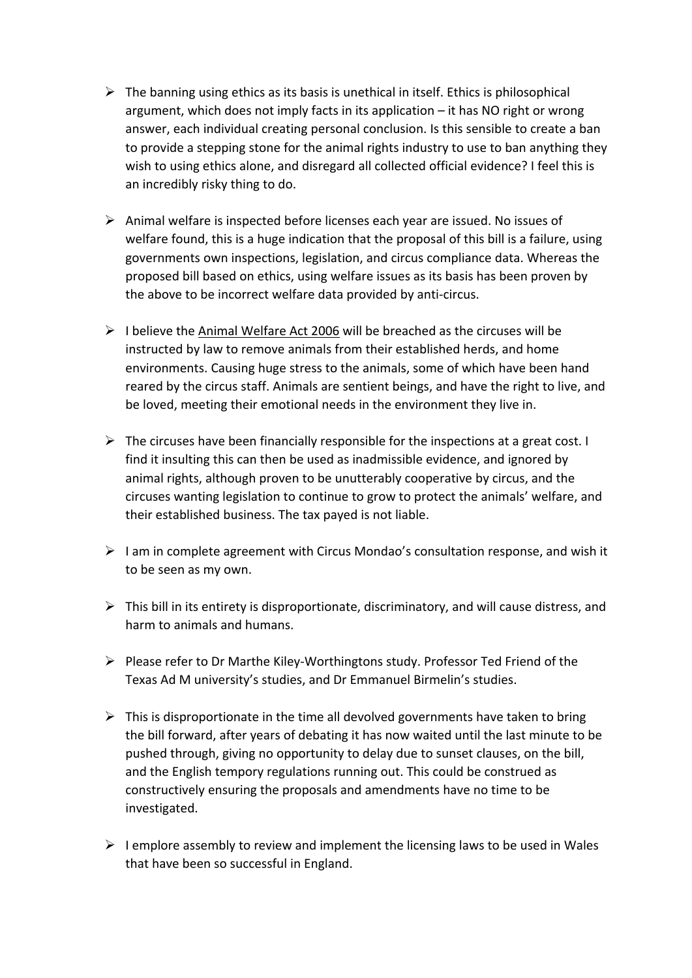- $\triangleright$  The banning using ethics as its basis is unethical in itself. Ethics is philosophical argument, which does not imply facts in its application – it has NO right or wrong answer, each individual creating personal conclusion. Is this sensible to create a ban to provide a stepping stone for the animal rights industry to use to ban anything they wish to using ethics alone, and disregard all collected official evidence? I feel this is an incredibly risky thing to do.
- $\triangleright$  Animal welfare is inspected before licenses each year are issued. No issues of welfare found, this is a huge indication that the proposal of this bill is a failure, using governments own inspections, legislation, and circus compliance data. Whereas the proposed bill based on ethics, using welfare issues as its basis has been proven by the above to be incorrect welfare data provided by anti-circus.
- $\triangleright$  I believe the Animal Welfare Act 2006 will be breached as the circuses will be instructed by law to remove animals from their established herds, and home environments. Causing huge stress to the animals, some of which have been hand reared by the circus staff. Animals are sentient beings, and have the right to live, and be loved, meeting their emotional needs in the environment they live in.
- $\triangleright$  The circuses have been financially responsible for the inspections at a great cost. I find it insulting this can then be used as inadmissible evidence, and ignored by animal rights, although proven to be unutterably cooperative by circus, and the circuses wanting legislation to continue to grow to protect the animals' welfare, and their established business. The tax payed is not liable.
- $\triangleright$  I am in complete agreement with Circus Mondao's consultation response, and wish it to be seen as my own.
- $\triangleright$  This bill in its entirety is disproportionate, discriminatory, and will cause distress, and harm to animals and humans.
- $\triangleright$  Please refer to Dr Marthe Kiley-Worthingtons study. Professor Ted Friend of the Texas Ad M university's studies, and Dr Emmanuel Birmelin's studies.
- $\triangleright$  This is disproportionate in the time all devolved governments have taken to bring the bill forward, after years of debating it has now waited until the last minute to be pushed through, giving no opportunity to delay due to sunset clauses, on the bill, and the English tempory regulations running out. This could be construed as constructively ensuring the proposals and amendments have no time to be investigated.
- $\triangleright$  I emplore assembly to review and implement the licensing laws to be used in Wales that have been so successful in England.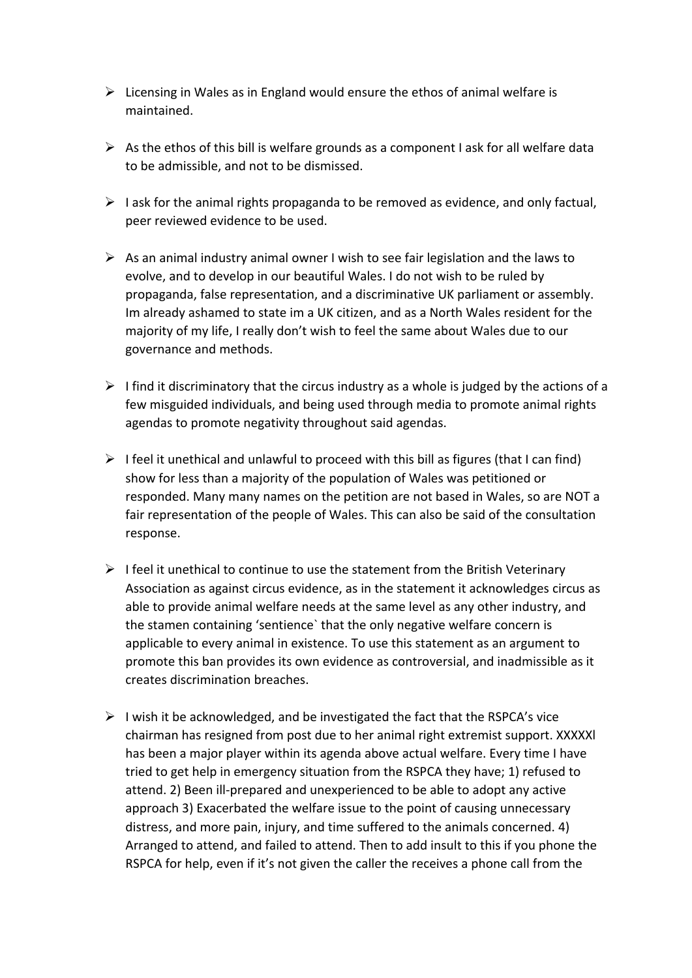- $\triangleright$  Licensing in Wales as in England would ensure the ethos of animal welfare is maintained.
- $\triangleright$  As the ethos of this bill is welfare grounds as a component I ask for all welfare data to be admissible, and not to be dismissed.
- $\triangleright$  I ask for the animal rights propaganda to be removed as evidence, and only factual, peer reviewed evidence to be used.
- $\triangleright$  As an animal industry animal owner I wish to see fair legislation and the laws to evolve, and to develop in our beautiful Wales. I do not wish to be ruled by propaganda, false representation, and a discriminative UK parliament or assembly. Im already ashamed to state im a UK citizen, and as a North Wales resident for the majority of my life, I really don't wish to feel the same about Wales due to our governance and methods.
- $\triangleright$  I find it discriminatory that the circus industry as a whole is judged by the actions of a few misguided individuals, and being used through media to promote animal rights agendas to promote negativity throughout said agendas.
- $\triangleright$  I feel it unethical and unlawful to proceed with this bill as figures (that I can find) show for less than a majority of the population of Wales was petitioned or responded. Many many names on the petition are not based in Wales, so are NOT a fair representation of the people of Wales. This can also be said of the consultation response.
- $\triangleright$  I feel it unethical to continue to use the statement from the British Veterinary Association as against circus evidence, as in the statement it acknowledges circus as able to provide animal welfare needs at the same level as any other industry, and the stamen containing 'sentience` that the only negative welfare concern is applicable to every animal in existence. To use this statement as an argument to promote this ban provides its own evidence as controversial, and inadmissible as it creates discrimination breaches.
- $\triangleright$  I wish it be acknowledged, and be investigated the fact that the RSPCA's vice chairman has resigned from post due to her animal right extremist support. XXXXXl has been a major player within its agenda above actual welfare. Every time I have tried to get help in emergency situation from the RSPCA they have; 1) refused to attend. 2) Been ill-prepared and unexperienced to be able to adopt any active approach 3) Exacerbated the welfare issue to the point of causing unnecessary distress, and more pain, injury, and time suffered to the animals concerned. 4) Arranged to attend, and failed to attend. Then to add insult to this if you phone the RSPCA for help, even if it's not given the caller the receives a phone call from the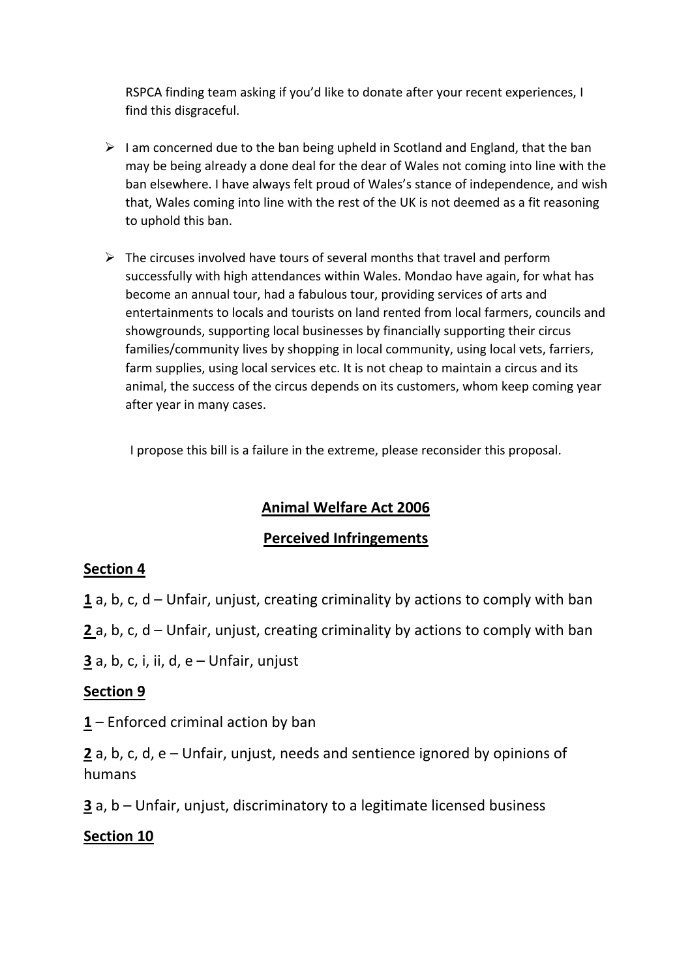RSPCA finding team asking if you'd like to donate after your recent experiences, I find this disgraceful.

- $\triangleright$  I am concerned due to the ban being upheld in Scotland and England, that the ban may be being already a done deal for the dear of Wales not coming into line with the ban elsewhere. I have always felt proud of Wales's stance of independence, and wish that, Wales coming into line with the rest of the UK is not deemed as a fit reasoning to uphold this ban.
- $\triangleright$  The circuses involved have tours of several months that travel and perform successfully with high attendances within Wales. Mondao have again, for what has become an annual tour, had a fabulous tour, providing services of arts and entertainments to locals and tourists on land rented from local farmers, councils and showgrounds, supporting local businesses by financially supporting their circus families/community lives by shopping in local community, using local vets, farriers, farm supplies, using local services etc. It is not cheap to maintain a circus and its animal, the success of the circus depends on its customers, whom keep coming year after year in many cases.

I propose this bill is a failure in the extreme, please reconsider this proposal.

## **Animal Welfare Act 2006**

## **Perceived Infringements**

## **Section 4**

**1** a, b, c, d – Unfair, unjust, creating criminality by actions to comply with ban

**2** a, b, c, d – Unfair, unjust, creating criminality by actions to comply with ban

**3** a, b, c, i, ii, d, e – Unfair, unjust

### **Section 9**

**1** – Enforced criminal action by ban

**2** a, b, c, d, e – Unfair, unjust, needs and sentience ignored by opinions of humans

**3** a, b – Unfair, unjust, discriminatory to a legitimate licensed business

### **Section 10**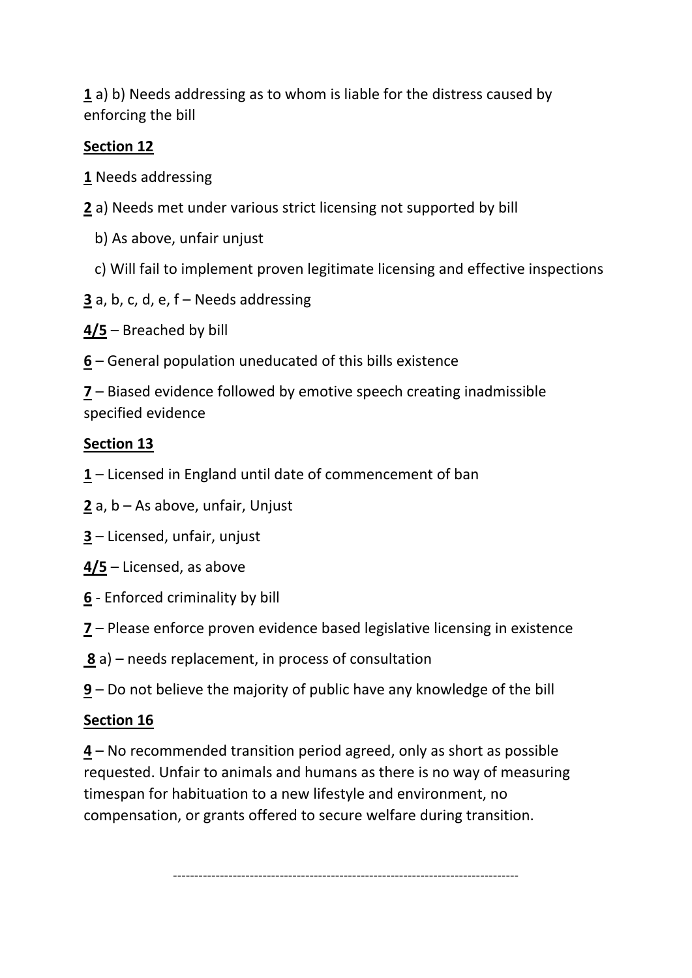**1** a) b) Needs addressing as to whom is liable for the distress caused by enforcing the bill

## **Section 12**

- **1** Needs addressing
- **2** a) Needs met under various strict licensing not supported by bill
	- b) As above, unfair unjust
	- c) Will fail to implement proven legitimate licensing and effective inspections
- **3** a, b, c, d, e, f Needs addressing
- **4/5** Breached by bill
- **6** General population uneducated of this bills existence

**7** – Biased evidence followed by emotive speech creating inadmissible specified evidence

## **Section 13**

- **1** Licensed in England until date of commencement of ban
- **2** a, b As above, unfair, Unjust
- **3** Licensed, unfair, unjust
- **4/5** Licensed, as above
- **6** Enforced criminality by bill
- **7** Please enforce proven evidence based legislative licensing in existence
- **8** a) needs replacement, in process of consultation
- **9** Do not believe the majority of public have any knowledge of the bill

## **Section 16**

**4** – No recommended transition period agreed, only as short as possible requested. Unfair to animals and humans as there is no way of measuring timespan for habituation to a new lifestyle and environment, no compensation, or grants offered to secure welfare during transition.

 $-$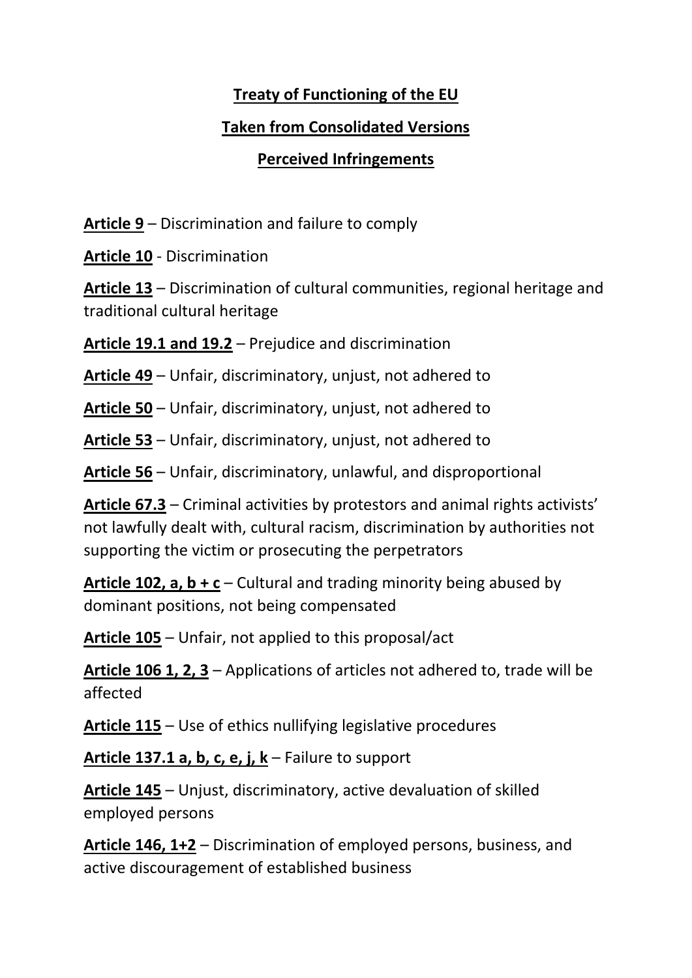## **Treaty of Functioning of the EU**

## **Taken from Consolidated Versions**

## **Perceived Infringements**

**Article 9** – Discrimination and failure to comply

**Article 10** - Discrimination

**Article 13** – Discrimination of cultural communities, regional heritage and traditional cultural heritage

**Article 19.1 and 19.2** – Prejudice and discrimination

**Article 49** – Unfair, discriminatory, unjust, not adhered to

**Article 50** – Unfair, discriminatory, unjust, not adhered to

**Article 53** – Unfair, discriminatory, unjust, not adhered to

**Article 56** – Unfair, discriminatory, unlawful, and disproportional

**Article 67.3** – Criminal activities by protestors and animal rights activists' not lawfully dealt with, cultural racism, discrimination by authorities not supporting the victim or prosecuting the perpetrators

**Article 102, a, b + c** – Cultural and trading minority being abused by dominant positions, not being compensated

**Article 105** – Unfair, not applied to this proposal/act

**Article 106 1, 2, 3** – Applications of articles not adhered to, trade will be affected

**Article 115** – Use of ethics nullifying legislative procedures

**Article 137.1 a, b, c, e, j, k** – Failure to support

**Article 145** – Unjust, discriminatory, active devaluation of skilled employed persons

**Article 146, 1+2** – Discrimination of employed persons, business, and active discouragement of established business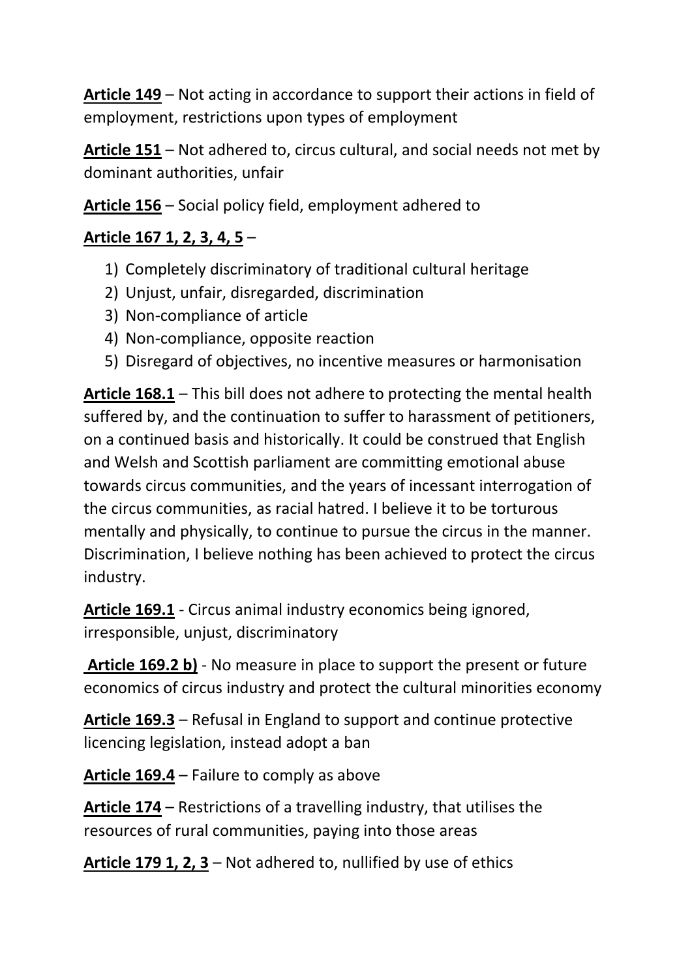**Article 149** – Not acting in accordance to support their actions in field of employment, restrictions upon types of employment

**Article 151** – Not adhered to, circus cultural, and social needs not met by dominant authorities, unfair

**Article 156** – Social policy field, employment adhered to

## **Article 167 1, 2, 3, 4, 5** –

- 1) Completely discriminatory of traditional cultural heritage
- 2) Unjust, unfair, disregarded, discrimination
- 3) Non-compliance of article
- 4) Non-compliance, opposite reaction
- 5) Disregard of objectives, no incentive measures or harmonisation

**Article 168.1** – This bill does not adhere to protecting the mental health suffered by, and the continuation to suffer to harassment of petitioners, on a continued basis and historically. It could be construed that English and Welsh and Scottish parliament are committing emotional abuse towards circus communities, and the years of incessant interrogation of the circus communities, as racial hatred. I believe it to be torturous mentally and physically, to continue to pursue the circus in the manner. Discrimination, I believe nothing has been achieved to protect the circus industry.

**Article 169.1** - Circus animal industry economics being ignored, irresponsible, unjust, discriminatory

**Article 169.2 b)** - No measure in place to support the present or future economics of circus industry and protect the cultural minorities economy

**Article 169.3** – Refusal in England to support and continue protective licencing legislation, instead adopt a ban

**Article 169.4** – Failure to comply as above

**Article 174** – Restrictions of a travelling industry, that utilises the resources of rural communities, paying into those areas

**Article 179 1, 2, 3** – Not adhered to, nullified by use of ethics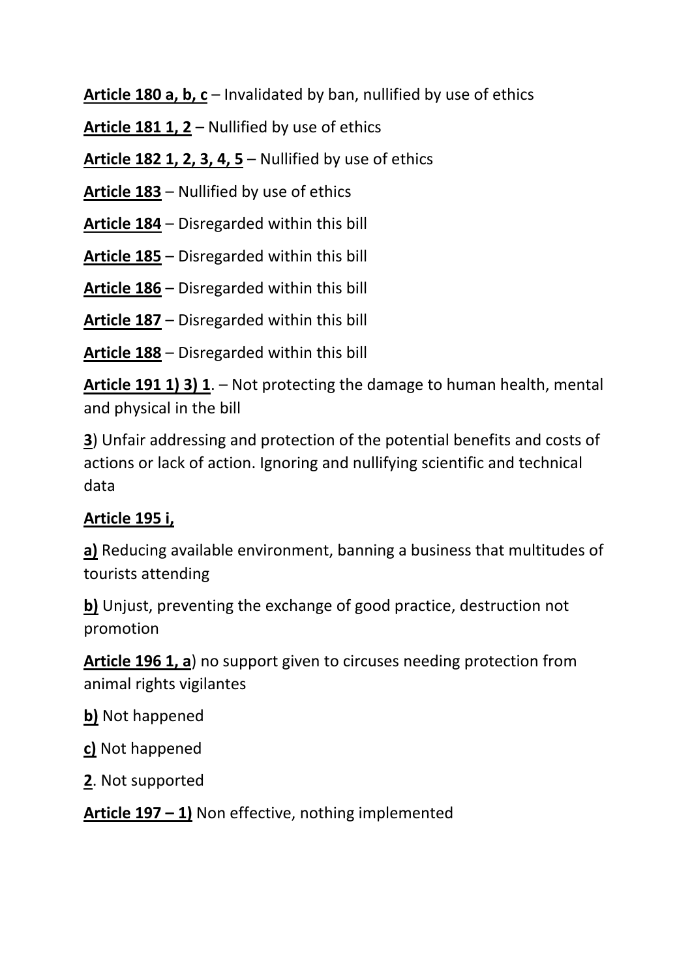**Article 180 a, b, c** – Invalidated by ban, nullified by use of ethics

**Article 181 1, 2** – Nullified by use of ethics

**Article 182 1, 2, 3, 4, 5** – Nullified by use of ethics

**Article 183** – Nullified by use of ethics

**Article 184** – Disregarded within this bill

**Article 185** – Disregarded within this bill

**Article 186** – Disregarded within this bill

**Article 187** – Disregarded within this bill

**Article 188** – Disregarded within this bill

**Article 191 1) 3) 1**. – Not protecting the damage to human health, mental and physical in the bill

**3**) Unfair addressing and protection of the potential benefits and costs of actions or lack of action. Ignoring and nullifying scientific and technical data

# **Article 195 i,**

**a)** Reducing available environment, banning a business that multitudes of tourists attending

**b)** Unjust, preventing the exchange of good practice, destruction not promotion

**Article 196 1, a**) no support given to circuses needing protection from animal rights vigilantes

**b)** Not happened

**c)** Not happened

**2**. Not supported

**Article 197 – 1)** Non effective, nothing implemented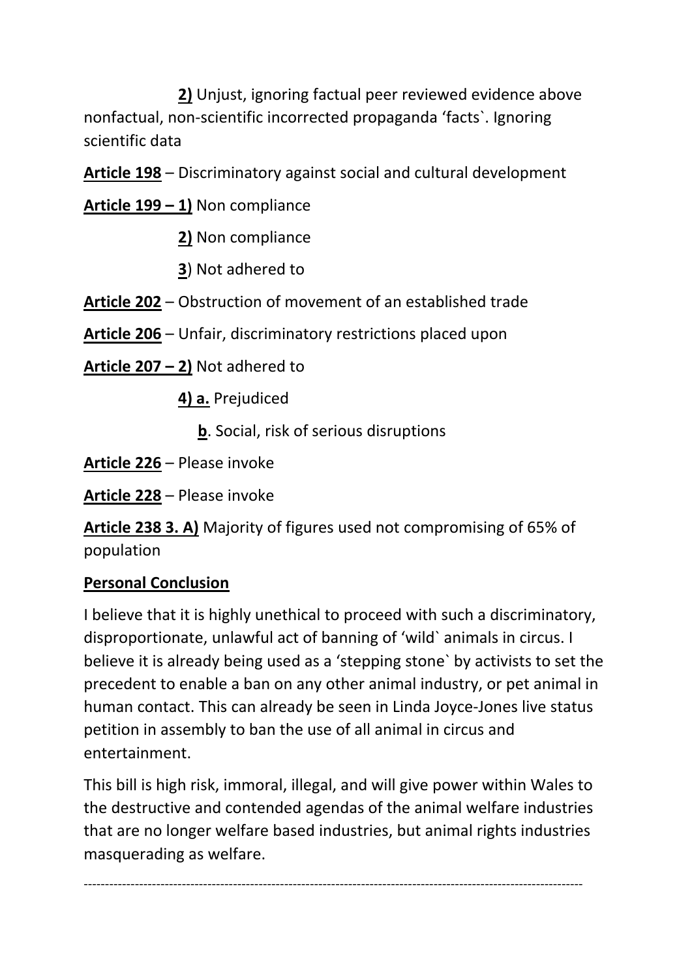**2)** Unjust, ignoring factual peer reviewed evidence above nonfactual, non-scientific incorrected propaganda 'facts`. Ignoring scientific data

**Article 198** – Discriminatory against social and cultural development

**Article 199 – 1)** Non compliance

- **2)** Non compliance
- **3**) Not adhered to

**Article 202** – Obstruction of movement of an established trade

**Article 206** – Unfair, discriminatory restrictions placed upon

**Article 207 – 2)** Not adhered to

 **4) a.** Prejudiced

**b**. Social, risk of serious disruptions

**Article 226** – Please invoke

**Article 228** – Please invoke

**Article 238 3. A)** Majority of figures used not compromising of 65% of population

## **Personal Conclusion**

I believe that it is highly unethical to proceed with such a discriminatory, disproportionate, unlawful act of banning of 'wild` animals in circus. I believe it is already being used as a 'stepping stone` by activists to set the precedent to enable a ban on any other animal industry, or pet animal in human contact. This can already be seen in Linda Joyce-Jones live status petition in assembly to ban the use of all animal in circus and entertainment.

This bill is high risk, immoral, illegal, and will give power within Wales to the destructive and contended agendas of the animal welfare industries that are no longer welfare based industries, but animal rights industries masquerading as welfare.

---------------------------------------------------------------------------------------------------------------------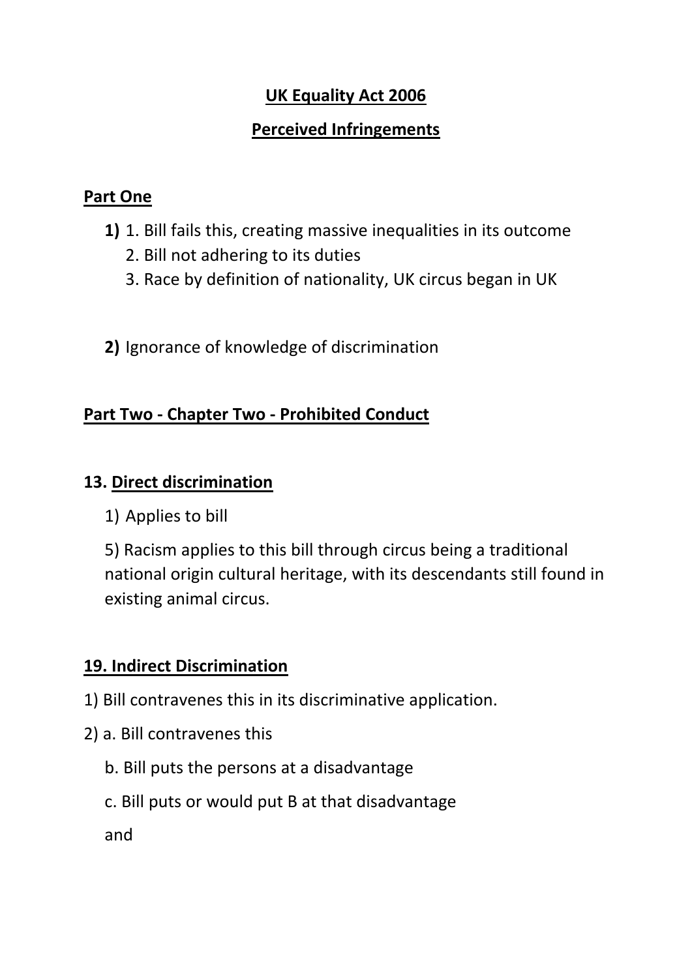# **UK Equality Act 2006**

# **Perceived Infringements**

## **Part One**

- **1)** 1. Bill fails this, creating massive inequalities in its outcome
	- 2. Bill not adhering to its duties
	- 3. Race by definition of nationality, UK circus began in UK
- **2)** Ignorance of knowledge of discrimination

# **Part Two - Chapter Two - Prohibited Conduct**

## **13. Direct discrimination**

1) Applies to bill

5) Racism applies to this bill through circus being a traditional national origin cultural heritage, with its descendants still found in existing animal circus.

# **19. Indirect Discrimination**

- 1) Bill contravenes this in its discriminative application.
- 2) a. Bill contravenes this
	- b. Bill puts the persons at a disadvantage
	- c. Bill puts or would put B at that disadvantage

and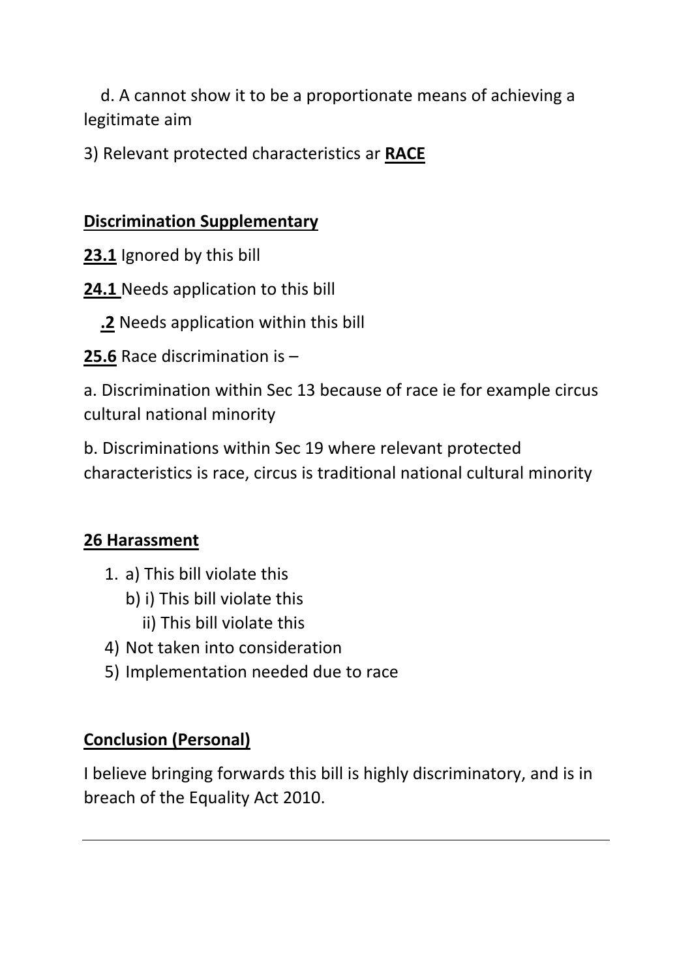d. A cannot show it to be a proportionate means of achieving a legitimate aim

3) Relevant protected characteristics ar **RACE**

# **Discrimination Supplementary**

- **23.1** Ignored by this bill
- **24.1** Needs application to this bill
	- **.2** Needs application within this bill
- **25.6** Race discrimination is –

a. Discrimination within Sec 13 because of race ie for example circus cultural national minority

b. Discriminations within Sec 19 where relevant protected characteristics is race, circus is traditional national cultural minority

# **26 Harassment**

- 1. a) This bill violate this
	- b) i) This bill violate this
		- ii) This bill violate this
- 4) Not taken into consideration
- 5) Implementation needed due to race

# **Conclusion (Personal)**

I believe bringing forwards this bill is highly discriminatory, and is in breach of the Equality Act 2010.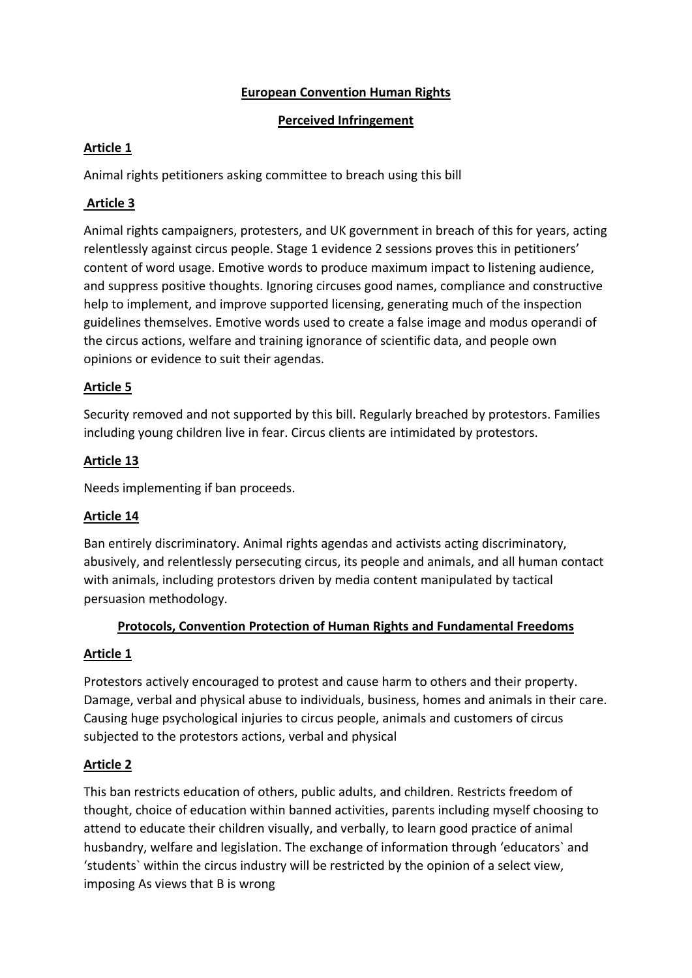#### **European Convention Human Rights**

#### **Perceived Infringement**

#### **Article 1**

Animal rights petitioners asking committee to breach using this bill

### **Article 3**

Animal rights campaigners, protesters, and UK government in breach of this for years, acting relentlessly against circus people. Stage 1 evidence 2 sessions proves this in petitioners' content of word usage. Emotive words to produce maximum impact to listening audience, and suppress positive thoughts. Ignoring circuses good names, compliance and constructive help to implement, and improve supported licensing, generating much of the inspection guidelines themselves. Emotive words used to create a false image and modus operandi of the circus actions, welfare and training ignorance of scientific data, and people own opinions or evidence to suit their agendas.

#### **Article 5**

Security removed and not supported by this bill. Regularly breached by protestors. Families including young children live in fear. Circus clients are intimidated by protestors.

#### **Article 13**

Needs implementing if ban proceeds.

#### **Article 14**

Ban entirely discriminatory. Animal rights agendas and activists acting discriminatory, abusively, and relentlessly persecuting circus, its people and animals, and all human contact with animals, including protestors driven by media content manipulated by tactical persuasion methodology.

#### **Protocols, Convention Protection of Human Rights and Fundamental Freedoms**

#### **Article 1**

Protestors actively encouraged to protest and cause harm to others and their property. Damage, verbal and physical abuse to individuals, business, homes and animals in their care. Causing huge psychological injuries to circus people, animals and customers of circus subjected to the protestors actions, verbal and physical

#### **Article 2**

This ban restricts education of others, public adults, and children. Restricts freedom of thought, choice of education within banned activities, parents including myself choosing to attend to educate their children visually, and verbally, to learn good practice of animal husbandry, welfare and legislation. The exchange of information through 'educators` and 'students` within the circus industry will be restricted by the opinion of a select view, imposing As views that B is wrong